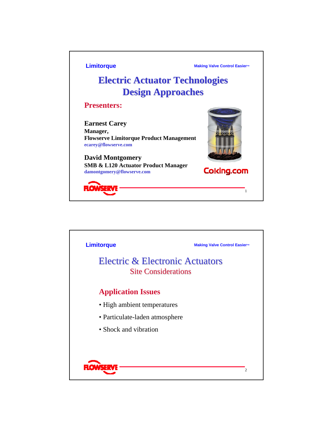**Limitorque Making Valve Control Easier™**

## **Electric Actuator Technologies Electric Actuator Technologies Design Approaches Design Approaches**

**Presenters:**

**Earnest Carey Manager, Flowserve Limitorque Product Management ecarey@flowserve.com**

**David Montgomery SMB & L120 Actuator Product Manager damontgomery@flowserve.com**



**Coking.com** 

1



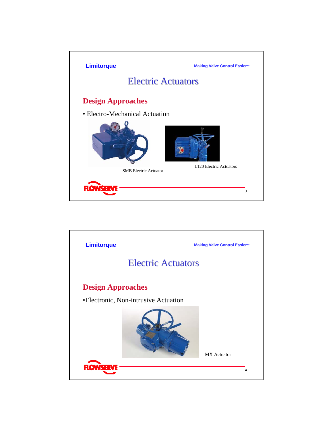

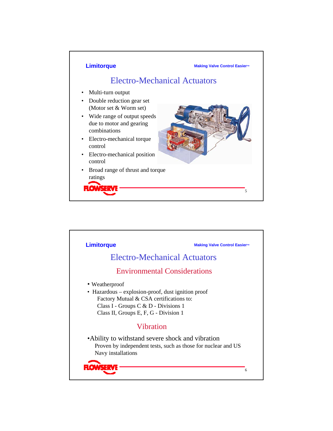

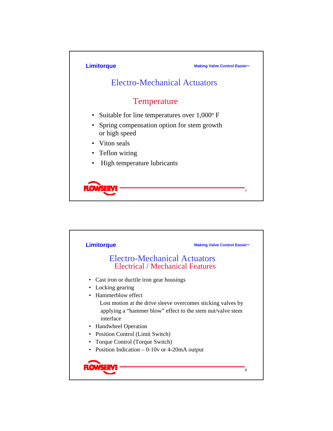

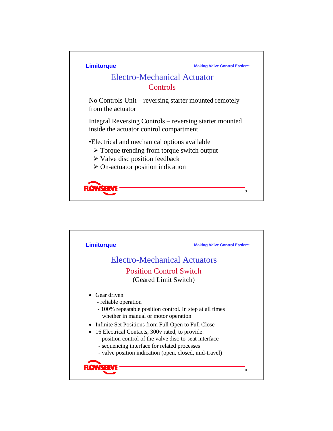

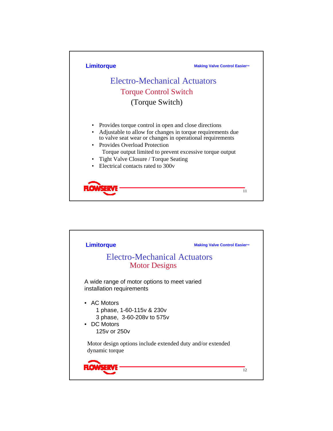

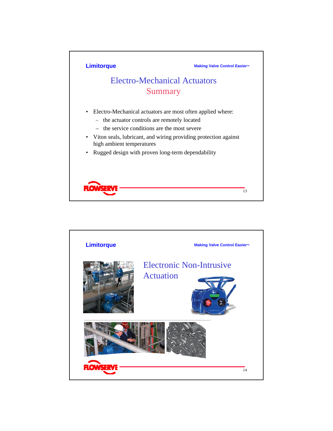

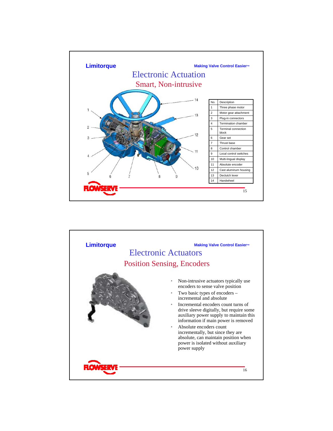

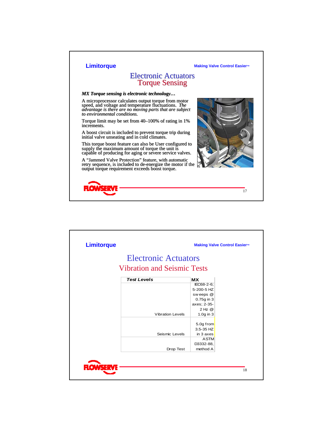**Limitorque Making Valve Control Easier™**

## Electronic Actuators<br>Torque Sensing Torque Sensing

 $MX$  Torque sensing is electronic technology...

A microprocessor calculates output torque from motor speed, and voltage and temperature fluctuations. *The advantage is there are no moving parts that are subject to environmental conditions.* A microprocessor calculates output torque from motor speed, and voltage and *temperature fluctuations*. The *advantage is there are no moving parts that are subject to environmental conditions.*

Torque limit may be set from 40–100% of rating in 1% increments. Torque limit may be set from 40–100% of rating in 1% increments.

A boost circuit is included to prevent torque trip during initial valve unseating and in cold climates. A boost circuit is included to prevent torque trip during

This torque boost feature can also be User configured to supply the maximum amount of torque the unit is capable of producing for aging or severe service valves. initial valve unseating and in cold climates.<br>This torque boost feature can also be User configured to<br>supply the maximum amount of torque the unit is<br>capable of producing for aging or severe service valves.<br>A "Jammed Valv



A "Jammed Valve Protection" feature, with automatic retry sequence, is included to de-energize the motor if the output torque requirement exceeds boost torque. output requirement exceeds boost torque.



|                                    | <b>Making Valve Control Easier™</b> |                                                                                   |
|------------------------------------|-------------------------------------|-----------------------------------------------------------------------------------|
|                                    |                                     |                                                                                   |
| <b>Vibration and Seismic Tests</b> |                                     |                                                                                   |
| <b>Test Levels</b>                 | <b>MX</b>                           |                                                                                   |
|                                    | IEC68-2-6;                          |                                                                                   |
|                                    | 5-200-5 HZ                          |                                                                                   |
|                                    | sweeps @                            |                                                                                   |
|                                    | 0.75g in 3                          |                                                                                   |
|                                    |                                     |                                                                                   |
|                                    | $2 Hz \omega$                       |                                                                                   |
| <b>Vibration Levels</b>            | $1.0g$ in 3                         |                                                                                   |
|                                    |                                     |                                                                                   |
|                                    |                                     |                                                                                   |
| Seismic Levels                     |                                     |                                                                                   |
|                                    | <b>ASTM</b>                         |                                                                                   |
|                                    | D3332-88,                           |                                                                                   |
| Drop Test                          | method A                            |                                                                                   |
|                                    |                                     | <b>Electronic Actuators</b><br>axes; 2-35-<br>5.0g from<br>3.5-35 HZ<br>in 3 axes |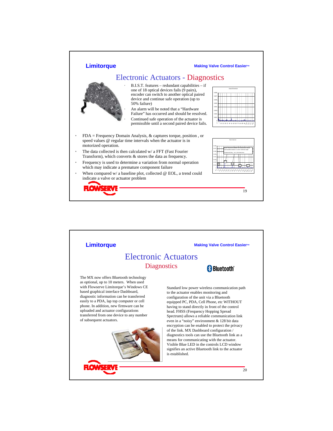

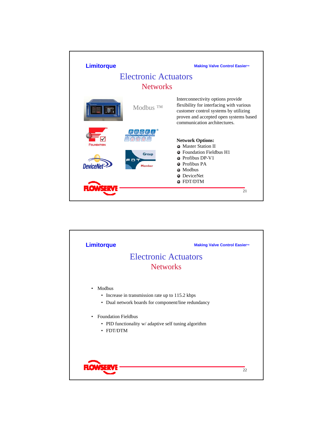

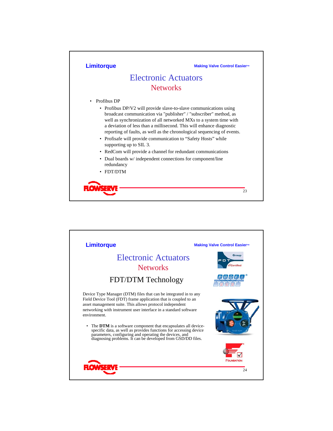

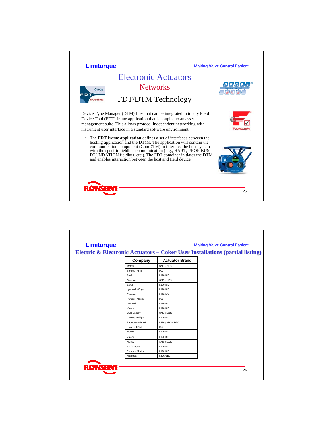

| <b>Limitorque</b><br><b>Making Valve Control Easier™</b><br>Electric & Electronic Actuators - Coker User Installations (partial listing) |                       |  |  |
|------------------------------------------------------------------------------------------------------------------------------------------|-----------------------|--|--|
| Company                                                                                                                                  | <b>Actuator Brand</b> |  |  |
| Motiva                                                                                                                                   | SMB - NCU             |  |  |
| Sonoco Phillip                                                                                                                           | <b>MX</b>             |  |  |
| Shell                                                                                                                                    | <b>L120 BIC</b>       |  |  |
| Chevron                                                                                                                                  | SMB - NCU             |  |  |
| Exxon                                                                                                                                    | <b>L120 BIC</b>       |  |  |
| Lyondell - Citgo                                                                                                                         | <b>L120 BIC</b>       |  |  |
| Chevron                                                                                                                                  | L120/MX               |  |  |
| Pemex - Mexico                                                                                                                           | <b>MX</b>             |  |  |
| Lyondell                                                                                                                                 | <b>L120 BIC</b>       |  |  |
| Valero                                                                                                                                   | <b>L120 BIC</b>       |  |  |
| <b>CVR Energy</b>                                                                                                                        | SMB / L120            |  |  |
| Conoco Phillips                                                                                                                          | <b>L120 BIC</b>       |  |  |
| Petrobras - Brazil                                                                                                                       | L120 / MX w/ DDC      |  |  |
| ENAP - Chile                                                                                                                             | <b>MX</b>             |  |  |
| Motiva                                                                                                                                   | <b>L120 BIC</b>       |  |  |
| Valero                                                                                                                                   | <b>L120 BIC</b>       |  |  |
| <b>NCRA</b>                                                                                                                              | SMB / L120            |  |  |
| BP / Amoco                                                                                                                               | <b>L120 BIC</b>       |  |  |
| Pemex - Mexico                                                                                                                           | <b>L120 BIC</b>       |  |  |
| Hovensa,                                                                                                                                 | <b>L120/UEC</b>       |  |  |